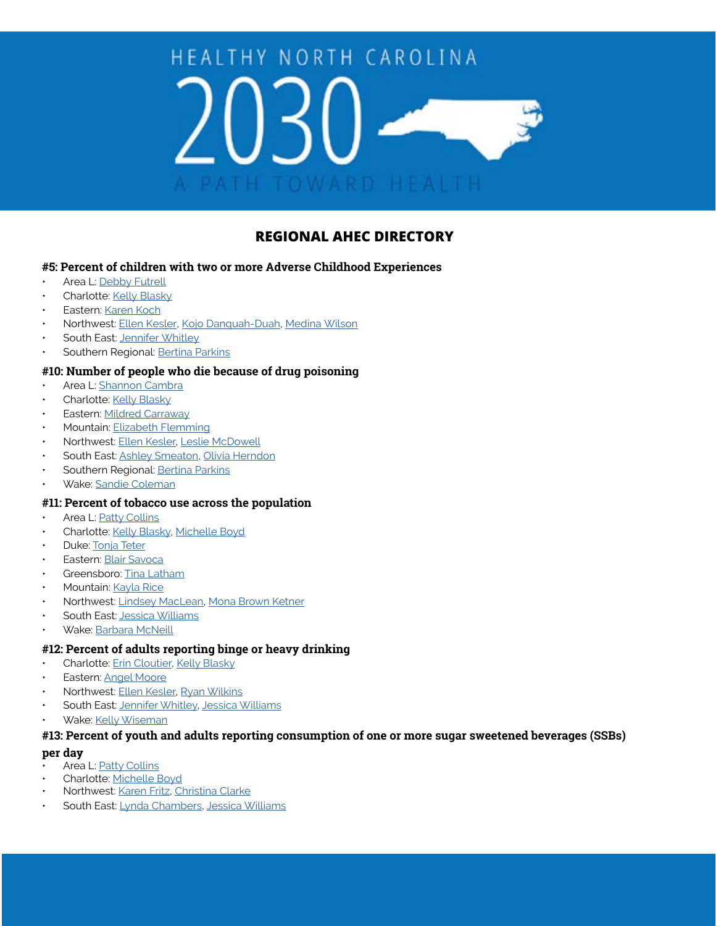# HEALTHY NORTH CAROLINA **TOWARD HEALTH**

# **REGIONAL AHEC DIRECTORY**

# **#5: Percent of children with two or more Adverse Childhood Experiences**

- Area L: [Debby Futrell](mailto:Debby.Futrell%40AreaLAHEC.org?subject=)
- Charlotte: [Kelly Blasky](mailto:Kelly.Blasky%40atriumhealth.org?subject=)
- Eastern: [Karen Koch](mailto:KOCHK%40ecu.edu?subject=)
- Northwest: [Ellen Kesler](mailto:ekesler%40wakehealth.edu?subject=), [Kojo Danquah-Duah,](mailto:ndanquah%40wakehealth.edu?subject=) [Medina Wilson](mailto:mewilson%40wakehealth.edu?subject=)
- South East: [Jennifer Whitley](mailto:Jennifer.Whitley%40seahec.net?subject=)
- Southern Regional: [Bertina Parkins](mailto:bertina.parkins%40sr-ahec.org?subject=)

# **#10: Number of people who die because of drug poisoning**

- Area L: [Shannon Cambra](mailto:shannon.cambra%40arealahec.org?subject=)
- Charlotte: [Kelly Blasky](mailto:Kelly.Blasky%40atriumhealth.org?subject=)
- **Eastern: [Mildred Carraway](mailto:CarrawayM%40ecu.edu?subject=)**
- Mountain: [Elizabeth Flemming](mailto:Elizabeth.Flemming%40mahec.net?subject=)
- Northwest: [Ellen Kesler](mailto:ekesler%40wakehealth.edu?subject=), [Leslie McDowell](mailto:ldmcdowe%40wakehealth.edu?subject=)
- South East: [Ashley Smeaton,](mailto:Ashley.Smeaton%40SEAHEC.NET?subject=) [Olivia Herndon](mailto:olivia.herndon%40seahec.net?subject=)
- Southern Regional: [Bertina Parkins](mailto:bertina.parkins%40sr-ahec.org?subject=)
- Wake: [Sandie Coleman](mailto:sacoleman%40wakeahec.org?subject=)

### **#11: Percent of tobacco use across the population**

- Area L: [Patty Collins](mailto:Patty.Collins%40AreaLAHEC.org?subject=)
- Charlotte: [Kelly Blasky,](mailto:kelly.blasky%40atriumhealth.org?subject=) [Michelle Boyd](mailto:Michelle.boyd%40atriumhealth.org?subject=)
- Duke: [Tonja Teter](mailto:tonja.teter%40sr-ahec.org?subject=)
- Eastern: [Blair Savoca](mailto:SavocaB19%40ecu.edu?subject=)
- Greensboro: [Tina Latham](mailto:Tina.Latham%40conehealth.com?subject=)
- Mountain: [Kayla Rice](mailto:kayla.rice%40mahec.net?subject=)
- Northwest: [Lindsey MacLean](mailto:lindsey.maclean%40wakehealth.edu?subject=), [Mona Brown Ketner](mailto:mketner%40wakehealth.edu?subject=)
- South East: [Jessica Williams](mailto:Jessica.Williams%40seahec.net?subject=)
- Wake: [Barbara McNeill](mailto:bamcneill%40wakeahec.org?subject=)

# **#12: Percent of adults reporting binge or heavy drinking**

- Charlotte: [Erin Cloutier,](mailto:Erin.Cloutier%40atriumhealth.org?subject=) [Kelly Blasky](mailto:Kelly.Blasky%40atriumhealth.org?subject=)
- Eastern: [Angel Moore](mailto:MooreAn%40ecu.edu?subject=)
- Northwest: [Ellen Kesler](mailto:ekesler%40wakehealth.edu?subject=), [Ryan Wilkins](mailto:rdwilkin%40wakehealth.edu?subject=)
- South East: [Jennifer Whitley,](mailto:Jennifer.Whitley%40seahec.net?subject=) [Jessica Williams](mailto:Jessica.Williams%40seahec.net?subject=)
- Wake: [Kelly Wiseman](mailto:kwiseman%40wakeahec.org?subject=)

# **#13: Percent of youth and adults reporting consumption of one or more sugar sweetened beverages (SSBs)**

#### **per day**

- Area L: [Patty Collins](mailto:Patty.Collins%40AreaLAHEC.org?subject=)
- Charlotte: [Michelle Boyd](mailto:Michelle.boyd%40atriumhealth.org?subject=)
- Northwest: [Karen Fritz](mailto:kfritz%40wakehealth.edu?subject=), [Christina Clarke](mailto:cclarke%40wakehealth.edu?subject=)
- South East: [Lynda Chambers,](mailto:Lynda.Chambers%40seahec.net?subject=) [Jessica Williams](mailto:Jessica.Williams%40seahec.net?subject=)